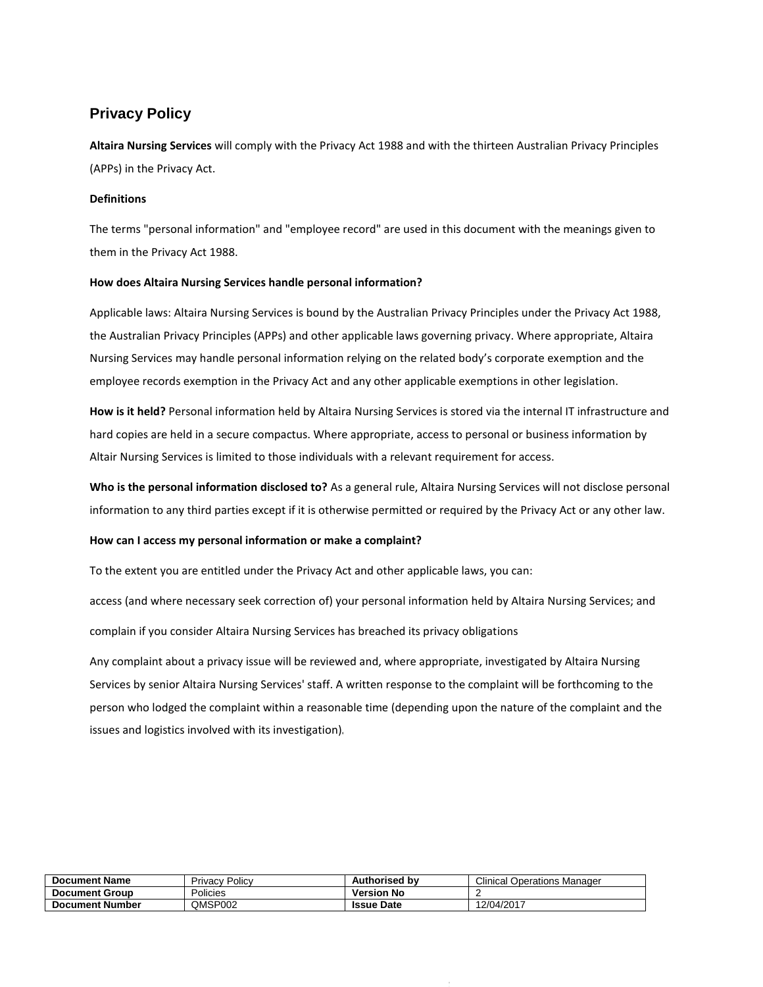# **Privacy Policy**

**Altaira Nursing Services** will comply with the Privacy Act 1988 and with the thirteen Australian Privacy Principles (APPs) in the Privacy Act.

## **Definitions**

The terms "personal information" and "employee record" are used in this document with the meanings given to them in the Privacy Act 1988.

## **How does Altaira Nursing Services handle personal information?**

Applicable laws: Altaira Nursing Services is bound by the Australian Privacy Principles under the Privacy Act 1988, the Australian Privacy Principles (APPs) and other applicable laws governing privacy. Where appropriate, Altaira Nursing Services may handle personal information relying on the related body's corporate exemption and the employee records exemption in the Privacy Act and any other applicable exemptions in other legislation.

**How is it held?** Personal information held by Altaira Nursing Services is stored via the internal IT infrastructure and hard copies are held in a secure compactus. Where appropriate, access to personal or business information by Altair Nursing Services is limited to those individuals with a relevant requirement for access.

**Who is the personal information disclosed to?** As a general rule, Altaira Nursing Services will not disclose personal information to any third parties except if it is otherwise permitted or required by the Privacy Act or any other law.

## **How can I access my personal information or make a complaint?**

To the extent you are entitled under the Privacy Act and other applicable laws, you can:

access (and where necessary seek correction of) your personal information held by Altaira Nursing Services; and

complain if you consider Altaira Nursing Services has breached its privacy obligations

Any complaint about a privacy issue will be reviewed and, where appropriate, investigated by Altaira Nursing Services by senior Altaira Nursing Services' staff. A written response to the complaint will be forthcoming to the person who lodged the complaint within a reasonable time (depending upon the nature of the complaint and the issues and logistics involved with its investigation)

| <b>Document Name</b>   | Policy<br>Privacy | <b>Authorised by</b> | <b>Clinical Operations Manager</b> |
|------------------------|-------------------|----------------------|------------------------------------|
| <b>Document Group</b>  | Policies          | <b>Version No</b>    |                                    |
| <b>Document Number</b> | QMSP002           | <b>Issue Date</b>    | 12/04/2017                         |